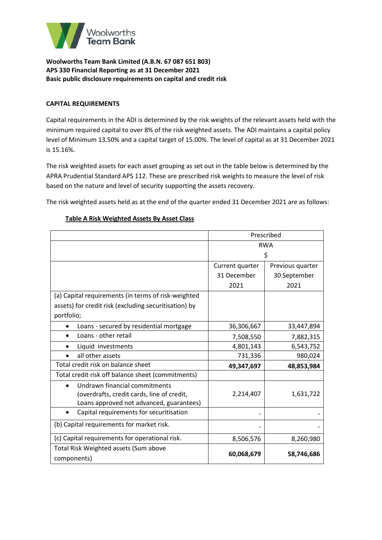

## **CAPITAL REQUIREMENTS**

Capital requirements in the ADI is determined by the risk weights of the relevant assets held with the minimum required capital to over 8% of the risk weighted assets. The ADI maintains a capital policy level of Minimum 13.50% and a capital target of 15.00%. The level of capital as at 31 December 2021 is 15.16%.

The risk weighted assets for each asset grouping as set out in the table below is determined by the APRA Prudential Standard APS 112. These are prescribed risk weights to measure the level of risk based on the nature and level of security supporting the assets recovery.

The risk weighted assets held as at the end of the quarter ended 31 December 2021 are as follows:

|                                                       | Prescribed      |                  |  |
|-------------------------------------------------------|-----------------|------------------|--|
|                                                       | <b>RWA</b>      |                  |  |
|                                                       | \$              |                  |  |
|                                                       | Current quarter | Previous quarter |  |
|                                                       | 31 December     | 30 September     |  |
|                                                       | 2021            | 2021             |  |
| (a) Capital requirements (in terms of risk-weighted   |                 |                  |  |
| assets) for credit risk (excluding securitisation) by |                 |                  |  |
| portfolio;                                            |                 |                  |  |
| Loans - secured by residential mortgage               | 36,306,667      | 33,447,894       |  |
| Loans - other retail                                  | 7,508,550       | 7,882,315        |  |
| Liquid investments                                    | 4,801,143       | 6,543,752        |  |
| all other assets                                      | 731,336         | 980,024          |  |
| Total credit risk on balance sheet                    | 49,347,697      | 48,853,984       |  |
| Total credit risk off balance sheet (commitments)     |                 |                  |  |
| Undrawn financial commitments                         |                 |                  |  |
| (overdrafts, credit cards, line of credit,            | 2,214,407       | 1,631,722        |  |
| Loans approved not advanced, guarantees)              |                 |                  |  |
| Capital requirements for securitisation<br>$\bullet$  |                 |                  |  |
| (b) Capital requirements for market risk.             |                 |                  |  |
| (c) Capital requirements for operational risk.        | 8,506,576       | 8,260,980        |  |
| Total Risk Weighted assets (Sum above                 |                 |                  |  |
| components)                                           | 60,068,679      | 58,746,686       |  |

## **Table A Risk Weighted Assets By Asset Class**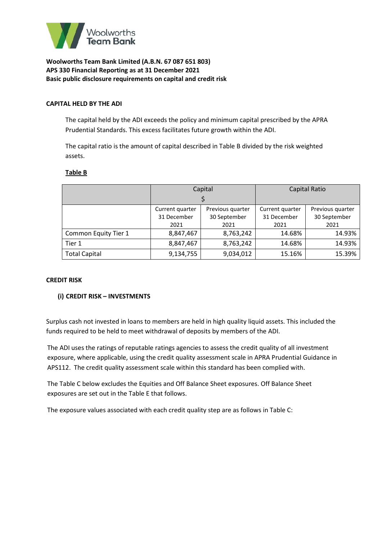

#### **CAPITAL HELD BY THE ADI**

The capital held by the ADI exceeds the policy and minimum capital prescribed by the APRA Prudential Standards. This excess facilitates future growth within the ADI.

The capital ratio is the amount of capital described in Table B divided by the risk weighted assets.

#### **Table B**

|                      | Capital                     |                  | <b>Capital Ratio</b> |                  |
|----------------------|-----------------------------|------------------|----------------------|------------------|
|                      |                             |                  |                      |                  |
|                      | Current quarter             | Previous quarter | Current quarter      | Previous quarter |
|                      | 31 December<br>30 September |                  | 31 December          | 30 September     |
|                      | 2021                        | 2021             | 2021                 | 2021             |
| Common Equity Tier 1 | 8,847,467                   | 8,763,242        | 14.68%               | 14.93%           |
| Tier 1               | 8,847,467                   | 8,763,242        | 14.68%               | 14.93%           |
| <b>Total Capital</b> | 9,134,755                   | 9,034,012        | 15.16%               | 15.39%           |

#### **CREDIT RISK**

#### **(i) CREDIT RISK – INVESTMENTS**

Surplus cash not invested in loans to members are held in high quality liquid assets. This included the funds required to be held to meet withdrawal of deposits by members of the ADI.

The ADI uses the ratings of reputable ratings agencies to assess the credit quality of all investment exposure, where applicable, using the credit quality assessment scale in APRA Prudential Guidance in APS112. The credit quality assessment scale within this standard has been complied with.

The Table C below excludes the Equities and Off Balance Sheet exposures. Off Balance Sheet exposures are set out in the Table E that follows.

The exposure values associated with each credit quality step are as follows in Table C: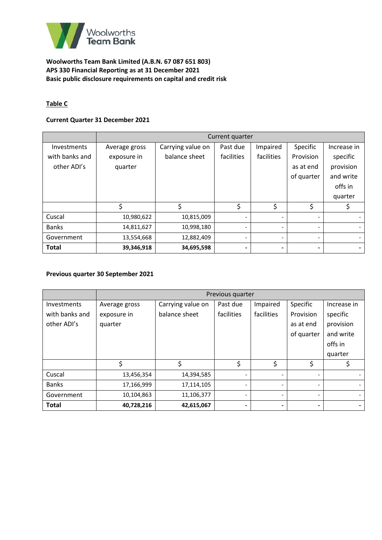

# **Table C**

## **Current Quarter 31 December 2021**

|                    | Current quarter |                   |                          |            |                          |             |
|--------------------|-----------------|-------------------|--------------------------|------------|--------------------------|-------------|
| <b>Investments</b> | Average gross   | Carrying value on | Past due                 | Impaired   | Specific                 | Increase in |
| with banks and     | exposure in     | balance sheet     | facilities               | facilities | Provision                | specific    |
| other ADI's        | quarter         |                   |                          |            | as at end                | provision   |
|                    |                 |                   |                          |            | of quarter               | and write   |
|                    |                 |                   |                          |            |                          | offs in     |
|                    |                 |                   |                          |            |                          | quarter     |
|                    | \$              | \$                | \$                       | \$         | \$                       |             |
| Cuscal             | 10,980,622      | 10,815,009        |                          |            |                          |             |
| <b>Banks</b>       | 14,811,627      | 10,998,180        |                          |            | $\overline{\phantom{a}}$ |             |
| Government         | 13,554,668      | 12,882,409        | $\overline{\phantom{0}}$ |            | $\overline{\phantom{a}}$ |             |
| <b>Total</b>       | 39,346,918      | 34,695,598        | $\blacksquare$           |            | $\blacksquare$           |             |

## **Previous quarter 30 September 2021**

|                | Previous quarter |                   |            |            |                          |             |
|----------------|------------------|-------------------|------------|------------|--------------------------|-------------|
| Investments    | Average gross    | Carrying value on | Past due   | Impaired   | Specific                 | Increase in |
| with banks and | exposure in      | balance sheet     | facilities | facilities | Provision                | specific    |
| other ADI's    | quarter          |                   |            |            | as at end                | provision   |
|                |                  |                   |            |            | of quarter               | and write   |
|                |                  |                   |            |            |                          | offs in     |
|                |                  |                   |            |            |                          | quarter     |
|                | \$               | \$                | \$         | \$         | \$                       |             |
| Cuscal         | 13,456,354       | 14,394,585        | ۰          |            | $\overline{\phantom{0}}$ |             |
| <b>Banks</b>   | 17,166,999       | 17,114,105        |            |            | $\overline{\phantom{0}}$ |             |
| Government     | 10,104,863       | 11,106,377        |            |            | $\overline{\phantom{0}}$ |             |
| <b>Total</b>   | 40,728,216       | 42,615,067        | -          |            | $\blacksquare$           |             |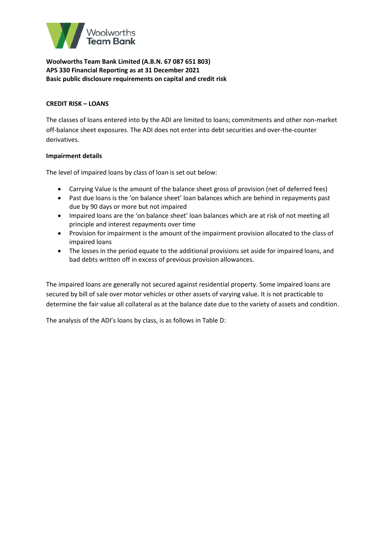

### **CREDIT RISK – LOANS**

The classes of loans entered into by the ADI are limited to loans; commitments and other non-market off-balance sheet exposures. The ADI does not enter into debt securities and over-the-counter derivatives.

## **Impairment details**

The level of impaired loans by class of loan is set out below:

- Carrying Value is the amount of the balance sheet gross of provision (net of deferred fees)
- Past due loans is the 'on balance sheet' loan balances which are behind in repayments past due by 90 days or more but not impaired
- Impaired loans are the 'on balance sheet' loan balances which are at risk of not meeting all principle and interest repayments over time
- Provision for impairment is the amount of the impairment provision allocated to the class of impaired loans
- The losses in the period equate to the additional provisions set aside for impaired loans, and bad debts written off in excess of previous provision allowances.

The impaired loans are generally not secured against residential property. Some impaired loans are secured by bill of sale over motor vehicles or other assets of varying value. It is not practicable to determine the fair value all collateral as at the balance date due to the variety of assets and condition.

The analysis of the ADI's loans by class, is as follows in Table D: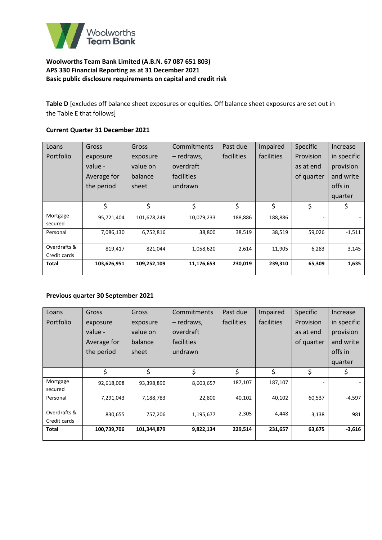

**Table D** [excludes off balance sheet exposures or equities. Off balance sheet exposures are set out in the Table E that follows]

## **Current Quarter 31 December 2021**

| Loans        | Gross       | Gross       | Commitments | Past due   | Impaired   | <b>Specific</b> | Increase    |
|--------------|-------------|-------------|-------------|------------|------------|-----------------|-------------|
| Portfolio    | exposure    | exposure    | - redraws,  | facilities | facilities | Provision       | in specific |
|              | value -     | value on    | overdraft   |            |            | as at end       | provision   |
|              | Average for | balance     | facilities  |            |            | of quarter      | and write   |
|              | the period  | sheet       | undrawn     |            |            |                 | offs in     |
|              |             |             |             |            |            |                 | quarter     |
|              | \$          | \$          | \$          | \$         | \$         | \$              | \$          |
| Mortgage     | 95,721,404  | 101,678,249 | 10,079,233  | 188,886    | 188,886    |                 |             |
| secured      |             |             |             |            |            |                 |             |
| Personal     | 7,086,130   | 6,752,816   | 38,800      | 38,519     | 38,519     | 59,026          | $-1,511$    |
|              |             |             |             |            |            |                 |             |
| Overdrafts & | 819,417     | 821,044     | 1,058,620   | 2,614      | 11,905     | 6,283           | 3,145       |
| Credit cards |             |             |             |            |            |                 |             |
| Total        | 103,626,951 | 109,252,109 | 11,176,653  | 230,019    | 239,310    | 65,309          | 1,635       |
|              |             |             |             |            |            |                 |             |

#### **Previous quarter 30 September 2021**

| Loans                        | Gross       | Gross       | Commitments | Past due   | Impaired   | <b>Specific</b> | Increase    |
|------------------------------|-------------|-------------|-------------|------------|------------|-----------------|-------------|
| Portfolio                    | exposure    | exposure    | - redraws,  | facilities | facilities | Provision       | in specific |
|                              | value -     | value on    | overdraft   |            |            | as at end       | provision   |
|                              | Average for | balance     | facilities  |            |            | of quarter      | and write   |
|                              | the period  | sheet       | undrawn     |            |            |                 | offs in     |
|                              |             |             |             |            |            |                 | quarter     |
|                              | \$          | \$          | \$          | \$         | \$         | \$              | \$          |
| Mortgage<br>secured          | 92,618,008  | 93,398,890  | 8,603,657   | 187,107    | 187,107    |                 |             |
| Personal                     | 7,291,043   | 7,188,783   | 22,800      | 40,102     | 40,102     | 60,537          | $-4,597$    |
| Overdrafts &<br>Credit cards | 830,655     | 757,206     | 1,195,677   | 2,305      | 4,448      | 3,138           | 981         |
| <b>Total</b>                 | 100,739,706 | 101,344,879 | 9,822,134   | 229,514    | 231,657    | 63,675          | $-3,616$    |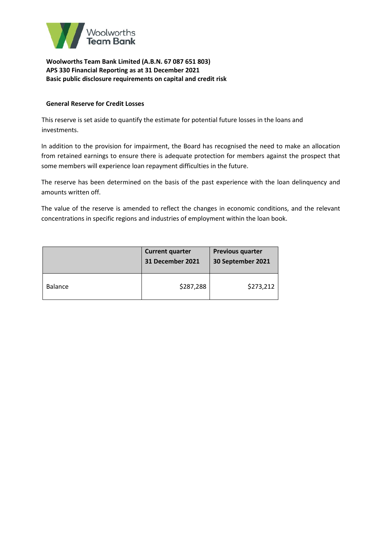

## **General Reserve for Credit Losses**

This reserve is set aside to quantify the estimate for potential future losses in the loans and investments.

In addition to the provision for impairment, the Board has recognised the need to make an allocation from retained earnings to ensure there is adequate protection for members against the prospect that some members will experience loan repayment difficulties in the future.

The reserve has been determined on the basis of the past experience with the loan delinquency and amounts written off.

The value of the reserve is amended to reflect the changes in economic conditions, and the relevant concentrations in specific regions and industries of employment within the loan book.

|                | <b>Current quarter</b><br><b>31 December 2021</b> | <b>Previous quarter</b><br>30 September 2021 |
|----------------|---------------------------------------------------|----------------------------------------------|
| <b>Balance</b> | \$287,288                                         | \$273,212                                    |